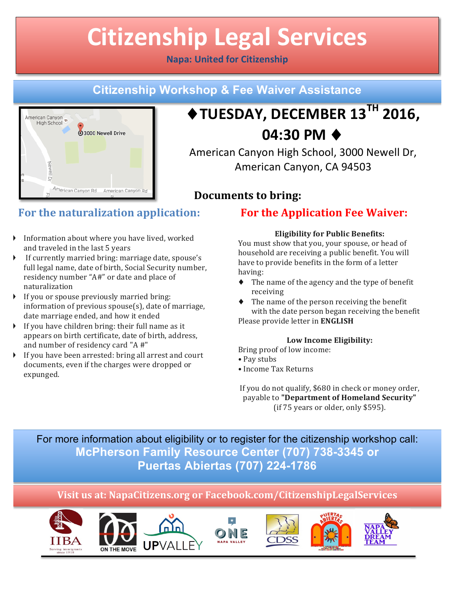# **Citizenship Legal Services**

## **Napa: United for Citizenship**

## **Citizenship Workshop & Fee Waiver Assistance**



## ♦**TUESDAY, DECEMBER 13TH 2016, 04:30 PM** ♦

American Canyon High School, 3000 Newell Dr, American Canyon, CA 94503

## **Documents to bring:**

## **For the naturalization application:**

- $\blacktriangleright$  Information about where you have lived, worked and traveled in the last 5 years
- If currently married bring: marriage date, spouse's full legal name, date of birth, Social Security number, residency number "A#" or date and place of naturalization
- $\triangleright$  If you or spouse previously married bring: information of previous  $spouse(s)$ , date of marriage, date marriage ended, and how it ended
- $\blacktriangleright$  If vou have children bring: their full name as it appears on birth certificate, date of birth, address, and number of residency card "A #"
- $\blacktriangleright$  If you have been arrested: bring all arrest and court documents, even if the charges were dropped or expunged.

## **For the Application Fee Waiver:**

### **Eligibility for Public Benefits:**

You must show that you, your spouse, or head of household are receiving a public benefit. You will have to provide benefits in the form of a letter having:

- $\blacklozenge$  The name of the agency and the type of benefit receiving
- $\blacklozenge$  The name of the person receiving the benefit with the date person began receiving the benefit Please provide letter in **ENGLISH**

#### **Low Income Eligibility:**

Bring proof of low income:

- Pay stubs
- • Income Tax Returns

If you do not qualify, \$680 in check or money order, payable to "Department of Homeland Security" (if  $75$  years or older, only  $$595$ ).

## For more information about eligibility or to register for the citizenship workshop call: **McPherson Family Resource Center (707) 738-3345 or Puertas Abiertas (707) 224-1786**

## **Visit us at: NapaCitizens.org or Facebook.com/CitizenshipLegalServices**